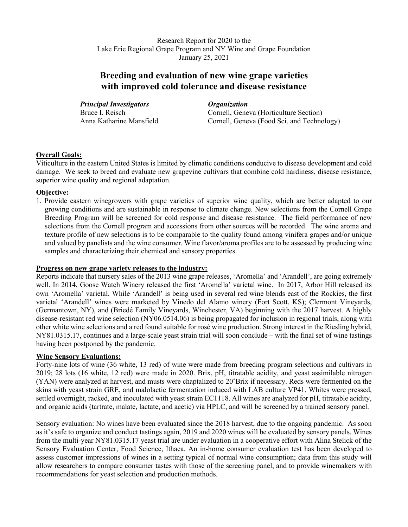Research Report for 2020 to the Lake Erie Regional Grape Program and NY Wine and Grape Foundation January 25, 2021

# **Breeding and evaluation of new wine grape varieties with improved cold tolerance and disease resistance**

*Principal Investigators Organization*

Bruce I. Reisch **Cornell, Geneva (Horticulture Section)**<br>
Anna Katharine Mansfield Cornell, Geneva (Food Sci. and Techno Cornell, Geneva (Food Sci. and Technology)

## **Overall Goals:**

Viticulture in the eastern United States is limited by climatic conditions conducive to disease development and cold damage. We seek to breed and evaluate new grapevine cultivars that combine cold hardiness, disease resistance, superior wine quality and regional adaptation.

## **Objective:**

1. Provide eastern winegrowers with grape varieties of superior wine quality, which are better adapted to our growing conditions and are sustainable in response to climate change. New selections from the Cornell Grape Breeding Program will be screened for cold response and disease resistance. The field performance of new selections from the Cornell program and accessions from other sources will be recorded. The wine aroma and texture profile of new selections is to be comparable to the quality found among vinifera grapes and/or unique and valued by panelists and the wine consumer. Wine flavor/aroma profiles are to be assessed by producing wine samples and characterizing their chemical and sensory properties.

#### **Progress on new grape variety releases to the industry:**

Reports indicate that nursery sales of the 2013 wine grape releases, 'Aromella' and 'Arandell', are going extremely well. In 2014, Goose Watch Winery released the first 'Aromella' varietal wine. In 2017, Arbor Hill released its own 'Aromella' varietal. While 'Arandell' is being used in several red wine blends east of the Rockies, the first varietal 'Arandell' wines were marketed by Vinedo del Alamo winery (Fort Scott, KS); Clermont Vineyards, (Germantown, NY), and (Briedé Family Vineyards, Winchester, VA) beginning with the 2017 harvest. A highly disease-resistant red wine selection (NY06.0514.06) is being propagated for inclusion in regional trials, along with other white wine selections and a red found suitable for rosé wine production. Strong interest in the Riesling hybrid, NY81.0315.17, continues and a large-scale yeast strain trial will soon conclude – with the final set of wine tastings having been postponed by the pandemic.

#### **Wine Sensory Evaluations:**

Forty-nine lots of wine (36 white, 13 red) of wine were made from breeding program selections and cultivars in 2019; 28 lots (16 white, 12 red) were made in 2020. Brix, pH, titratable acidity, and yeast assimilable nitrogen (YAN) were analyzed at harvest, and musts were chaptalized to 20˚Brix if necessary. Reds were fermented on the skins with yeast strain GRE, and malolactic fermentation induced with LAB culture VP41. Whites were pressed, settled overnight, racked, and inoculated with yeast strain EC1118. All wines are analyzed for pH, titratable acidity, and organic acids (tartrate, malate, lactate, and acetic) via HPLC, and will be screened by a trained sensory panel.

Sensory evaluation: No wines have been evaluated since the 2018 harvest, due to the ongoing pandemic. As soon as it's safe to organize and conduct tastings again, 2019 and 2020 wines will be evaluated by sensory panels. Wines from the multi-year NY81.0315.17 yeast trial are under evaluation in a cooperative effort with Alina Stelick of the Sensory Evaluation Center, Food Science, Ithaca. An in-home consumer evaluation test has been developed to assess customer impressions of wines in a setting typical of normal wine consumption; data from this study will allow researchers to compare consumer tastes with those of the screening panel, and to provide winemakers with recommendations for yeast selection and production methods.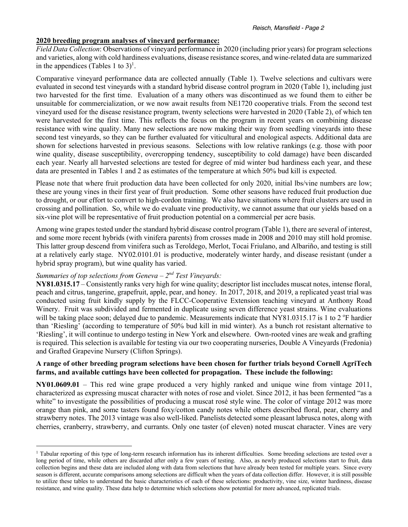#### **2020 breeding program analyses of vineyard performance:**

*Field Data Collection*: Observations of vineyard performance in 2020 (including prior years) for program selections and varieties, along with cold hardiness evaluations, disease resistance scores, and wine-related data are summarized in the appendices (Tables 1 to 3)<sup>1</sup>.

Comparative vineyard performance data are collected annually (Table 1). Twelve selections and cultivars were evaluated in second test vineyards with a standard hybrid disease control program in 2020 (Table 1), including just two harvested for the first time. Evaluation of a many others was discontinued as we found them to either be unsuitable for commercialization, or we now await results from NE1720 cooperative trials. From the second test vineyard used for the disease resistance program, twenty selections were harvested in 2020 (Table 2), of which ten were harvested for the first time. This reflects the focus on the program in recent years on combining disease resistance with wine quality. Many new selections are now making their way from seedling vineyards into these second test vineyards, so they can be further evaluated for viticultural and enological aspects. Additional data are shown for selections harvested in previous seasons. Selections with low relative rankings (e.g. those with poor wine quality, disease susceptibility, overcropping tendency, susceptibility to cold damage) have been discarded each year. Nearly all harvested selections are tested for degree of mid winter bud hardiness each year, and these data are presented in Tables 1 and 2 as estimates of the temperature at which 50% bud kill is expected.

Please note that where fruit production data have been collected for only 2020, initial lbs/vine numbers are low; these are young vines in their first year of fruit production. Some other seasons have reduced fruit production due to drought, or our effort to convert to high-cordon training. We also have situations where fruit clusters are used in crossing and pollination. So, while we do evaluate vine productivity, we cannot assume that our yields based on a six-vine plot will be representative of fruit production potential on a commercial per acre basis.

Among wine grapes tested under the standard hybrid disease control program (Table 1), there are several of interest, and some more recent hybrids (with vinifera parents) from crosses made in 2008 and 2010 may still hold promise. This latter group descend from vinifera such as Teroldego, Merlot, Tocai Friulano, and Albariño, and testing is still at a relatively early stage. NY02.0101.01 is productive, moderately winter hardy, and disease resistant (under a hybrid spray program), but wine quality has varied.

# *Summaries of top selections from Geneva – 2nd Test Vineyards:*

**NY81.0315.17** – Consistently ranks very high for wine quality; descriptor list inccludes muscat notes, intense floral, peach and citrus, tangerine, grapefruit, apple, pear, and honey. In 2017, 2018, and 2019, a replicated yeast trial was conducted using fruit kindly supply by the FLCC-Cooperative Extension teaching vineyard at Anthony Road Winery. Fruit was subdivided and fermented in duplicate using seven difference yeast strains. Wine evaluations will be taking place soon; delayed due to pandemic. Measurements indicate that NY81.0315.17 is 1 to 2 °F hardier than 'Riesling' (according to temperature of 50% bud kill in mid winter). As a bunch rot resistant alternative to 'Riesling', it will continue to undergo testing in New York and elsewhere. Own-rooted vines are weak and grafting is required. This selection is available for testing via our two cooperating nurseries, Double A Vineyards (Fredonia) and Grafted Grapevine Nursery (Clifton Springs).

#### **A range of other breeding program selections have been chosen for further trials beyond Cornell AgriTech farms, and available cuttings have been collected for propagation. These include the following:**

**NY01.0609.01** – This red wine grape produced a very highly ranked and unique wine from vintage 2011, characterized as expressing muscat character with notes of rose and violet. Since 2012, it has been fermented "as a white" to investigate the possibilities of producing a muscat rosé style wine. The color of vintage 2012 was more orange than pink, and some tasters found foxy/cotton candy notes while others described floral, pear, cherry and strawberry notes. The 2013 vintage was also well-liked. Panelists detected some pleasant labrusca notes, along with cherries, cranberry, strawberry, and currants. Only one taster (of eleven) noted muscat character. Vines are very

<sup>&</sup>lt;sup>1</sup> Tabular reporting of this type of long-term research information has its inherent difficulties. Some breeding selections are tested over a long period of time, while others are discarded after only a few years of testing. Also, as newly produced selections start to fruit, data collection begins and these data are included along with data from selections that have already been tested for multiple years. Since every season is different, accurate comparisons among selections are difficult when the years of data collection differ. However, it is still possible to utilize these tables to understand the basic characteristics of each of these selections: productivity, vine size, winter hardiness, disease resistance, and wine quality. These data help to determine which selections show potential for more advanced, replicated trials.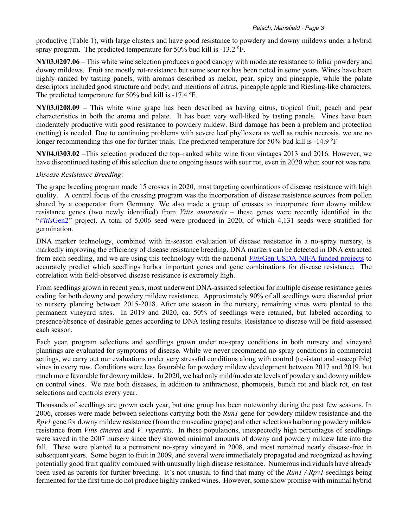productive (Table 1), with large clusters and have good resistance to powdery and downy mildews under a hybrid spray program. The predicted temperature for 50% bud kill is -13.2  $\mathrm{^oF}$ .

**NY03.0207.06** – This white wine selection produces a good canopy with moderate resistance to foliar powdery and downy mildews. Fruit are mostly rot-resistance but some sour rot has been noted in some years. Wines have been highly ranked by tasting panels, with aromas described as melon, pear, spicy and pineapple, while the palate descriptors included good structure and body; and mentions of citrus, pineapple apple and Riesling-like characters. The predicted temperature for 50% bud kill is -17.4  $\mathrm{P}$ F.

**NY03.0208.09** – This white wine grape has been described as having citrus, tropical fruit, peach and pear characteristics in both the aroma and palate. It has been very well-liked by tasting panels. Vines have been moderately productive with good resistance to powdery mildew. Bird damage has been a problem and protection (netting) is needed. Due to continuing problems with severe leaf phylloxera as well as rachis necrosis, we are no longer recommending this one for further trials. The predicted temperature for 50% bud kill is -14.9 °F

**NY04.0303.02** –This selection produced the top–ranked white wine from vintages 2013 and 2016. However, we have discontinued testing of this selection due to ongoing issues with sour rot, even in 2020 when sour rot was rare.

#### *Disease Resistance Breeding*:

The grape breeding program made 15 crosses in 2020, most targeting combinations of disease resistance with high quality. A central focus of the crossing program was the incorporation of disease resistance sources from pollen shared by a cooperator from Germany. We also made a group of crosses to incorporate four downy mildew resistance genes (two newly identified) from *Vitis amurensis* – these genes were recently identified in the "VitisGen2" project. A total of 5,006 seed were produced in 2020, of which 4,131 seeds were stratified for germination.

DNA marker technology, combined with in-season evaluation of disease resistance in a no-spray nursery, is markedly improving the efficiency of disease resistance breeding. DNA markers can be detected in DNA extracted from each seedling, and we are using this technology with the national *Vitis*Gen USDA-NIFA funded projects to accurately predict which seedlings harbor important genes and gene combinations for disease resistance. The correlation with field-observed disease resistance is extremely high.

From seedlings grown in recent years, most underwent DNA-assisted selection for multiple disease resistance genes coding for both downy and powdery mildew resistance. Approximately 90% of all seedlings were discarded prior to nursery planting between 2015-2018. After one season in the nursery, remaining vines were planted to the permanent vineyard sites. In 2019 and 2020, ca. 50% of seedlings were retained, but labeled according to presence/absence of desirable genes according to DNA testing results. Resistance to disease will be field-assessed each season.

Each year, program selections and seedlings grown under no-spray conditions in both nursery and vineyard plantings are evaluated for symptoms of disease. While we never recommend no-spray conditions in commercial settings, we carry out our evaluations under very stressful conditions along with control (resistant and susceptible) vines in every row. Conditions were less favorable for powdery mildew development between 2017 and 2019, but much more favorable for downy mildew. In 2020, we had only mild/moderate levels of powdery and downy mildew on control vines. We rate both diseases, in addition to anthracnose, phomopsis, bunch rot and black rot, on test selections and controls every year.

Thousands of seedlings are grown each year, but one group has been noteworthy during the past few seasons. In 2006, crosses were made between selections carrying both the *Run1* gene for powdery mildew resistance and the *Rpv1* gene for downy mildew resistance (from the muscadine grape) and other selections harboring powdery mildew resistance from *Vitis cinerea* and *V. rupestris*. In these populations, unexpectedly high percentages of seedlings were saved in the 2007 nursery since they showed minimal amounts of downy and powdery mildew late into the fall. These were planted to a permanent no-spray vineyard in 2008, and most remained nearly disease-free in subsequent years. Some began to fruit in 2009, and several were immediately propagated and recognized as having potentially good fruit quality combined with unusually high disease resistance. Numerous individuals have already been used as parents for further breeding. It's not unusual to find that many of the *Run1 / Rpv1* seedlings being fermented for the first time do not produce highly ranked wines. However, some show promise with minimal hybrid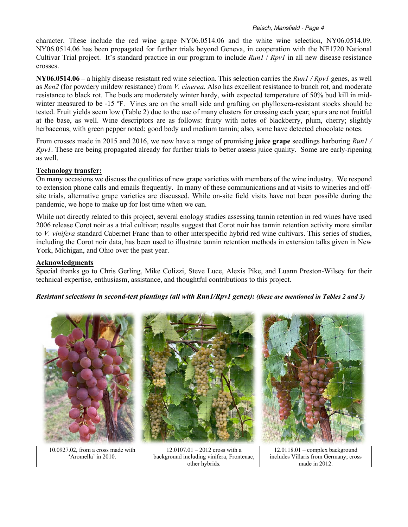#### *Reisch, Mansfield - Page 4*

character. These include the red wine grape NY06.0514.06 and the white wine selection, NY06.0514.09. NY06.0514.06 has been propagated for further trials beyond Geneva, in cooperation with the NE1720 National Cultivar Trial project. It's standard practice in our program to include *Run1* / *Rpv1* in all new disease resistance crosses.

**NY06.0514.06** – a highly disease resistant red wine selection. This selection carries the *Run1 / Rpv1* genes, as well as *Ren2* (for powdery mildew resistance) from *V. cinerea*. Also has excellent resistance to bunch rot, and moderate resistance to black rot. The buds are moderately winter hardy, with expected temperature of 50% bud kill in midwinter measured to be -15 °F. Vines are on the small side and grafting on phylloxera-resistant stocks should be tested. Fruit yields seem low (Table 2) due to the use of many clusters for crossing each year; spurs are not fruitful at the base, as well. Wine descriptors are as follows: fruity with notes of blackberry, plum, cherry; slightly herbaceous, with green pepper noted; good body and medium tannin; also, some have detected chocolate notes.

From crosses made in 2015 and 2016, we now have a range of promising **juice grape** seedlings harboring *Run1 / Rpv1*. These are being propagated already for further trials to better assess juice quality. Some are early-ripening as well.

## **Technology transfer:**

On many occasions we discuss the qualities of new grape varieties with members of the wine industry. We respond to extension phone calls and emails frequently. In many of these communications and at visits to wineries and offsite trials, alternative grape varieties are discussed. While on-site field visits have not been possible during the pandemic, we hope to make up for lost time when we can.

While not directly related to this project, several enology studies assessing tannin retention in red wines have used 2006 release Corot noir as a trial cultivar; results suggest that Corot noir has tannin retention activity more similar to *V. vinifera* standard Cabernet Franc than to other interspecific hybrid red wine cultivars. This series of studies, including the Corot noir data, has been used to illustrate tannin retention methods in extension talks given in New York, Michigan, and Ohio over the past year.

#### **Acknowledgments**

Special thanks go to Chris Gerling, Mike Colizzi, Steve Luce, Alexis Pike, and Luann Preston-Wilsey for their technical expertise, enthusiasm, assistance, and thoughtful contributions to this project.

#### *Resistant selections in second-test plantings (all with Run1/Rpv1 genes): (these are mentioned in Tables 2 and 3)*



10.0927.02, from a cross made with 'Aromella' in 2010.

12.0107.01 – 2012 cross with a background including vinifera, Frontenac, other hybrids.

12.0118.01 – complex background includes Villaris from Germany; cross made in 2012.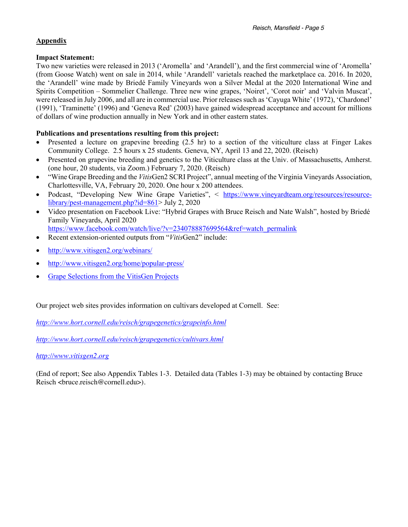## **Appendix**

#### **Impact Statement:**

Two new varieties were released in 2013 ('Aromella' and 'Arandell'), and the first commercial wine of 'Aromella' (from Goose Watch) went on sale in 2014, while 'Arandell' varietals reached the marketplace ca. 2016. In 2020, the 'Arandell' wine made by Briedé Family Vineyards won a Silver Medal at the 2020 International Wine and Spirits Competition – Sommelier Challenge. Three new wine grapes, 'Noiret', 'Corot noir' and 'Valvin Muscat', were released in July 2006, and all are in commercial use. Prior releases such as 'Cayuga White' (1972), 'Chardonel' (1991), 'Traminette' (1996) and 'Geneva Red' (2003) have gained widespread acceptance and account for millions of dollars of wine production annually in New York and in other eastern states.

# **Publications and presentations resulting from this project:**

- Presented a lecture on grapevine breeding (2.5 hr) to a section of the viticulture class at Finger Lakes Community College. 2.5 hours x 25 students. Geneva, NY, April 13 and 22, 2020. (Reisch)
- Presented on grapevine breeding and genetics to the Viticulture class at the Univ. of Massachusetts, Amherst. (one hour, 20 students, via Zoom.) February 7, 2020. (Reisch)
- "Wine Grape Breeding and the *Vitis*Gen2 SCRI Project", annual meeting of the Virginia Vineyards Association, Charlottesville, VA, February 20, 2020. One hour x 200 attendees.
- Podcast, "Developing New Wine Grape Varieties", < https://www.vineyardteam.org/resources/resourcelibrary/pest-management.php?id=861> July 2, 2020
- Video presentation on Facebook Live: "Hybrid Grapes with Bruce Reisch and Nate Walsh", hosted by Briedé Family Vineyards, April 2020 https://www.facebook.com/watch/live/?v=234078887699564&ref=watch\_permalink
- Recent extension-oriented outputs from "*Vitis*Gen2" include:
- http://www.vitisgen2.org/webinars/
- http://www.vitisgen2.org/home/popular-press/
- Grape Selections from the VitisGen Projects

Our project web sites provides information on cultivars developed at Cornell. See:

*http://www.hort.cornell.edu/reisch/grapegenetics/grapeinfo.html*

*http://www.hort.cornell.edu/reisch/grapegenetics/cultivars.html*

#### *http://www.vitisgen2.org*

(End of report; See also Appendix Tables 1-3. Detailed data (Tables 1-3) may be obtained by contacting Bruce Reisch  $\langle$ bruce.reisch@cornell.edu>).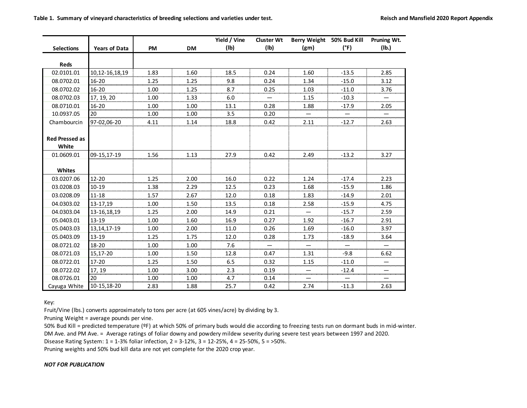|                       |                      |           |           | Yield / Vine | <b>Cluster Wt</b> | Berry Weight 50% Bud Kill |         | Pruning Wt. |
|-----------------------|----------------------|-----------|-----------|--------------|-------------------|---------------------------|---------|-------------|
| <b>Selections</b>     | <b>Years of Data</b> | <b>PM</b> | <b>DM</b> | (1b)         | (Ib)              | (g <sub>m</sub> )         | (°F)    | (Ib.)       |
| <b>Reds</b>           |                      |           |           |              |                   |                           |         |             |
|                       |                      |           |           |              |                   |                           |         |             |
| 02.0101.01            | 10,12-16,18,19       | 1.83      | 1.60      | 18.5         | 0.24              | 1.60                      | $-13.5$ | 2.85        |
| 08.0702.01            | $16 - 20$            | 1.25      | 1.25      | 9.8          | 0.24              | 1.34                      | $-15.0$ | 3.12        |
| 08.0702.02            | 16-20                | 1.00      | 1.25      | 8.7          | 0.25              | 1.03                      | $-11.0$ | 3.76        |
| 08.0702.03            | 17, 19, 20           | 1.00      | 1.33      | 6.0          |                   | 1.15                      | $-10.3$ |             |
| 08.0710.01            | $16 - 20$            | 1.00      | 1.00      | 13.1         | 0.28              | 1.88                      | $-17.9$ | 2.05        |
| 10.0937.05            | 20                   | 1.00      | 1.00      | 3.5          | 0.20              |                           |         |             |
| Chambourcin           | 97-02.06-20          | 4.11      | 1.14      | 18.8         | 0.42              | 2.11                      | $-12.7$ | 2.63        |
|                       |                      |           |           |              |                   |                           |         |             |
| <b>Red Pressed as</b> |                      |           |           |              |                   |                           |         |             |
| White                 |                      |           |           |              |                   |                           |         |             |
| 01.0609.01            | 09-15,17-19          | 1.56      | 1.13      | 27.9         | 0.42              | 2.49                      | $-13.2$ | 3.27        |
|                       |                      |           |           |              |                   |                           |         |             |
| Whites                |                      |           |           |              |                   |                           |         |             |
| 03.0207.06            | $12 - 20$            | 1.25      | 2.00      | 16.0         | 0.22              | 1.24                      | $-17.4$ | 2.23        |
| 03.0208.03            | $10 - 19$            | 1.38      | 2.29      | 12.5         | 0.23              | 1.68                      | $-15.9$ | 1.86        |
| 03.0208.09            | $11 - 18$            | 1.57      | 2.67      | 12.0         | 0.18              | 1.83                      | $-14.9$ | 2.01        |
| 04.0303.02            | 13-17,19             | 1.00      | 1.50      | 13.5         | 0.18              | 2.58                      | $-15.9$ | 4.75        |
| 04.0303.04            | 13-16,18,19          | 1.25      | 2.00      | 14.9         | 0.21              |                           | $-15.7$ | 2.59        |
| 05.0403.01            | 13-19                | 1.00      | 1.60      | 16.9         | 0.27              | 1.92                      | $-16.7$ | 2.91        |
| 05.0403.03            | 13, 14, 17-19        | 1.00      | 2.00      | 11.0         | 0.26              | 1.69                      | $-16.0$ | 3.97        |
| 05.0403.09            | $13 - 19$            | 1.25      | 1.75      | 12.0         | 0.28              | 1.73                      | $-18.9$ | 3.64        |
| 08.0721.02            | $18 - 20$            | 1.00      | 1.00      | 7.6          |                   |                           |         |             |
| 08.0721.03            | 15.17-20             | 1.00      | 1.50      | 12.8         | 0.47              | 1.31                      | $-9.8$  | 6.62        |
| 08.0722.01            | $17 - 20$            | 1.25      | 1.50      | 6.5          | 0.32              | 1.15                      | $-11.0$ |             |
| 08.0722.02            | 17.19                | 1.00      | 3.00      | 2.3          | 0.19              |                           | -12.4   |             |
| 08.0726.01            | 20                   | 1.00      | 1.00      | 4.7          | 0.14              |                           |         |             |
| Cayuga White          | 10-15,18-20          | 2.83      | 1.88      | 25.7         | 0.42              | 2.74                      | $-11.3$ | 2.63        |

Key:

Fruit/Vine (lbs.) converts approximately to tons per acre (at 605 vines/acre) by dividing by 3.

Pruning Weight = average pounds per vine.

50% Bud Kill = predicted temperature (ºF) at which 50% of primary buds would die according to freezing tests run on dormant buds in mid-winter.

DM Ave. and PM Ave. = Average ratings of foliar downy and powdery mildew severity during severe test years between 1997 and 2020.

Disease Rating System: 1 = 1-3% foliar infection, 2 = 3-12%, 3 = 12-25%, 4 = 25-50%, 5 = >50%.

Pruning weights and 50% bud kill data are not yet complete for the 2020 crop year.

#### *NOT FOR PUBLICATION*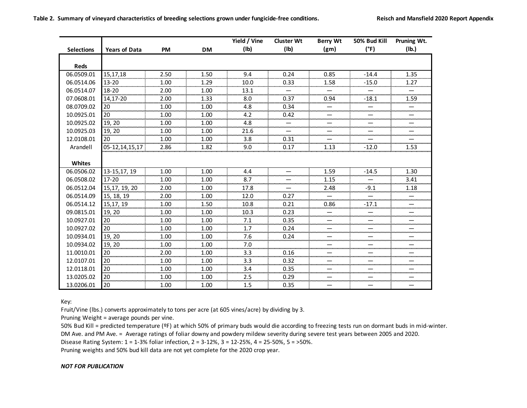**Table 2. Summary of vineyard characteristics of breeding selections grown under fungicide-free conditions. Reisch and Mansfield 2020 Report Appendix**

|                   |                      |           |           | Yield / Vine | <b>Cluster Wt</b> | <b>Berry Wt</b>   | 50% Bud Kill | Pruning Wt. |
|-------------------|----------------------|-----------|-----------|--------------|-------------------|-------------------|--------------|-------------|
| <b>Selections</b> | <b>Years of Data</b> | <b>PM</b> | <b>DM</b> | (1b)         | (1b)              | (g <sub>m</sub> ) | (°F)         | (Ib.)       |
|                   |                      |           |           |              |                   |                   |              |             |
| <b>Reds</b>       |                      |           |           |              |                   |                   |              |             |
| 06.0509.01        | 15.17.18             | 2.50      | 1.50      | 9.4          | 0.24              | 0.85              | $-14.4$      | 1.35        |
| 06.0514.06        | $13 - 20$            | 1.00      | 1.29      | 10.0         | 0.33              | 1.58              | $-15.0$      | 1.27        |
| 06.0514.07        | 18-20                | 2.00      | 1.00      | 13.1         |                   |                   |              |             |
| 07.0608.01        | 14.17-20             | 2.00      | 1.33      | 8.0          | 0.37              | 0.94              | $-18.1$      | 1.59        |
| 08.0709.02        | 20                   | 1.00      | 1.00      | 4.8<br>      | 0.34              |                   |              |             |
| 10.0925.01        | 20                   | 1.00      | 1.00      | 4.2          | 0.42              |                   |              |             |
| 10.0925.02        | 19, 20               | 1.00      | 1.00      | 4.8          |                   |                   |              |             |
| 10.0925.03        | 19, 20               | 1.00      | 1.00      | 21.6         |                   |                   |              |             |
| 12.0108.01        | 20                   | 1.00      | 1.00      | 3.8          | 0.31              |                   |              |             |
| Arandell          | 05-12,14,15,17       | 2.86      | 1.82      | 9.0          | 0.17              | 1.13              | $-12.0$      | 1.53        |
|                   |                      |           |           |              |                   |                   |              |             |
| <b>Whites</b>     |                      |           |           |              |                   |                   |              |             |
| 06.0506.02        | 13-15,17, 19         | 1.00      | 1.00      | 4.4          |                   | 1.59              | $-14.5$      | 1.30        |
| 06.0508.02        | $17 - 20$            | 1.00      | 1.00      | 8.7          |                   | 1.15              |              | 3.41        |
| 06.0512.04        | 15,17, 19, 20        | 2.00      | 1.00      | 17.8         |                   | 2.48              | $-9.1$       | 1.18        |
| 06.0514.09        | 15, 18, 19           | 2.00      | 1.00      | 12.0         | 0.27              |                   |              |             |
| 06.0514.12        | 15,17, 19            | 1.00      | 1.50      | 10.8         | 0.21              | 0.86              | $-17.1$      |             |
| 09.0815.01        | 19, 20               | 1.00      | 1.00      | 10.3         | 0.23              |                   |              |             |
| 10.0927.01        | 20<br>               | 1.00      | 1.00      | 7.1          | 0.35              |                   |              |             |
| 10.0927.02        | 20                   | 1.00      | 1.00      | 1.7<br>      | 0.24              |                   |              |             |
| 10.0934.01        | 19, 20               | 1.00      | 1.00      | 7.6          | 0.24              |                   |              |             |
| 10.0934.02        | 19, 20               | 1.00      | 1.00      | 7.0          |                   |                   |              |             |
| 11.0010.01        | 20                   | 2.00      | 1.00      | 3.3          | 0.16              |                   |              |             |
| 12.0107.01        | 20                   | 1.00      | 1.00      | 3.3          | 0.32              |                   |              |             |
| 12.0118.01        | .<br>20              | 1.00      | 1.00      | 3.4          | 0.35              |                   |              |             |
| 13.0205.02        | 20                   | 1.00      | 1.00      | 2.5          | 0.29              |                   |              |             |
| 13.0206.01        | 20                   | 1.00      | 1.00      | 1.5          | 0.35              |                   |              |             |

Key:

Fruit/Vine (lbs.) converts approximately to tons per acre (at 605 vines/acre) by dividing by 3.

Pruning Weight = average pounds per vine.

50% Bud Kill = predicted temperature (ºF) at which 50% of primary buds would die according to freezing tests run on dormant buds in mid-winter. DM Ave. and PM Ave. = Average ratings of foliar downy and powdery mildew severity during severe test years between 2005 and 2020. Disease Rating System: 1 = 1-3% foliar infection, 2 = 3-12%, 3 = 12-25%, 4 = 25-50%, 5 = >50%.

Pruning weights and 50% bud kill data are not yet complete for the 2020 crop year.

#### *NOT FOR PUBLICATION*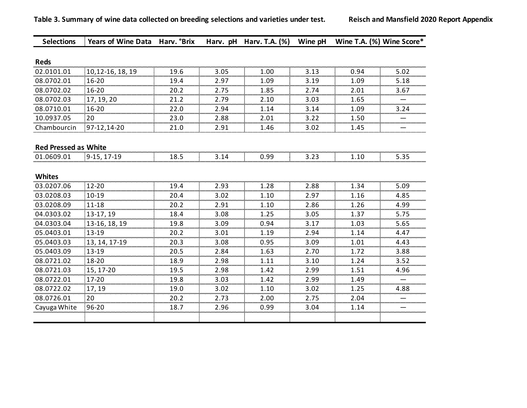| <b>Selections</b>           | Years of Wine Data Harv. °Brix |      |      | Harv. pH Harv. T.A. (%) | Wine pH | Wine T.A. (%) Wine Score* |           |
|-----------------------------|--------------------------------|------|------|-------------------------|---------|---------------------------|-----------|
|                             |                                |      |      |                         |         |                           |           |
| <b>Reds</b>                 |                                |      |      |                         |         |                           |           |
| 02.0101.01                  | 10,12-16, 18, 19               | 19.6 | 3.05 | 1.00                    | 3.13    | 0.94                      | 5.02      |
| 08.0702.01                  | 16-20                          | 19.4 | 2.97 | 1.09                    | 3.19    | 1.09                      | 5.18      |
| 08.0702.02                  | $16 - 20$                      | 20.2 | 2.75 | 1.85                    | 2.74    | 2.01                      | 3.67      |
| 08.0702.03                  | 17, 19, 20                     | 21.2 | 2.79 | 2.10                    | 3.03    | 1.65                      |           |
| 08.0710.01                  | $16 - 20$                      | 22.0 | 2.94 | 1.14                    | 3.14    | 1.09                      | 3.24      |
| 10.0937.05                  | 20                             | 23.0 | 2.88 | 2.01                    | 3.22    | 1.50                      |           |
| Chambourcin                 | 97-12,14-20                    | 21.0 | 2.91 | 1.46                    | 3.02    | 1.45                      |           |
|                             |                                |      |      |                         |         |                           |           |
| <b>Red Pressed as White</b> |                                |      |      |                         |         |                           |           |
| 01.0609.01                  | 9-15, 17-19                    | 18.5 | 3.14 | 0.99                    | 3.23    | 1.10                      | 5.35      |
|                             |                                |      |      |                         |         |                           |           |
| <b>Whites</b>               |                                |      |      |                         |         |                           | .         |
| 03.0207.06                  | $12 - 20$                      | 19.4 | 2.93 | 1.28                    | 2.88    | 1.34                      | 5.09      |
| 03.0208.03                  | $10 - 19$                      | 20.4 | 3.02 | 1.10<br>                | 2.97    | 1.16                      | 4.85      |
| 03.0208.09                  | 11-18                          | 20.2 | 2.91 | 1.10                    | 2.86    | 1.26                      | 4.99      |
| 04.0303.02                  | 13-17, 19                      | 18.4 | 3.08 | 1.25                    | 3.05    | 1.37                      | 5.75      |
| 04.0303.04                  | 13-16, 18, 19                  | 19.8 | 3.09 | 0.94                    | 3.17    | 1.03                      | 5.65      |
| 05.0403.01                  | 13-19                          | 20.2 | 3.01 | 1.19                    | 2.94    | 1.14                      | 4.47      |
| 05.0403.03                  | 13, 14, 17-19                  | 20.3 | 3.08 | 0.95                    | 3.09    | 1.01                      | 4.43      |
| 05.0403.09                  | 13-19                          | 20.5 | 2.84 | 1.63                    | 2.70    | 1.72                      | 3.88      |
| 08.0721.02                  | 18-20                          | 18.9 | 2.98 | 1.11                    | 3.10    | 1.24                      | 3.52      |
| 08.0721.03                  | 15, 17-20                      | 19.5 | 2.98 | 1.42                    | 2.99    | 1.51                      | 4.96      |
| 08.0722.01                  | 17-20                          | 19.8 | 3.03 | 1.42                    | 2.99    | 1.49                      |           |
| 08.0722.02                  | 17, 19                         | 19.0 | 3.02 | 1.10                    | 3.02    | 1.25                      | .<br>4.88 |
| 08.0726.01                  | 20                             | 20.2 | 2.73 | 2.00                    | 2.75    | 2.04                      |           |
| Cayuga White                | 96-20                          | 18.7 | 2.96 | 0.99                    | 3.04    | 1.14                      |           |
|                             |                                |      |      |                         |         |                           |           |